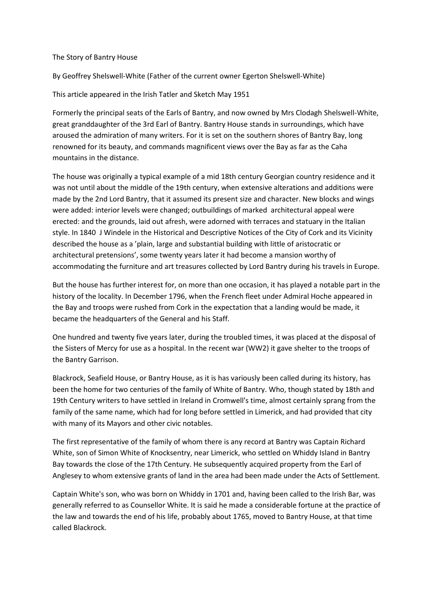## The Story of Bantry House

By Geoffrey Shelswell-White (Father of the current owner Egerton Shelswell-White)

This article appeared in the Irish Tatler and Sketch May 1951

Formerly the principal seats of the Earls of Bantry, and now owned by Mrs Clodagh Shelswell-White, great granddaughter of the 3rd Earl of Bantry. Bantry House stands in surroundings, which have aroused the admiration of many writers. For it is set on the southern shores of Bantry Bay, long renowned for its beauty, and commands magnificent views over the Bay as far as the Caha mountains in the distance.

The house was originally a typical example of a mid 18th century Georgian country residence and it was not until about the middle of the 19th century, when extensive alterations and additions were made by the 2nd Lord Bantry, that it assumed its present size and character. New blocks and wings were added: interior levels were changed; outbuildings of marked architectural appeal were erected: and the grounds, laid out afresh, were adorned with terraces and statuary in the Italian style. In 1840 J Windele in the Historical and Descriptive Notices of the City of Cork and its Vicinity described the house as a 'plain, large and substantial building with little of aristocratic or architectural pretensions', some twenty years later it had become a mansion worthy of accommodating the furniture and art treasures collected by Lord Bantry during his travels in Europe.

But the house has further interest for, on more than one occasion, it has played a notable part in the history of the locality. In December 1796, when the French fleet under Admiral Hoche appeared in the Bay and troops were rushed from Cork in the expectation that a landing would be made, it became the headquarters of the General and his Staff.

One hundred and twenty five years later, during the troubled times, it was placed at the disposal of the Sisters of Mercy for use as a hospital. In the recent war (WW2) it gave shelter to the troops of the Bantry Garrison.

Blackrock, Seafield House, or Bantry House, as it is has variously been called during its history, has been the home for two centuries of the family of White of Bantry. Who, though stated by 18th and 19th Century writers to have settled in Ireland in Cromwell's time, almost certainly sprang from the family of the same name, which had for long before settled in Limerick, and had provided that city with many of its Mayors and other civic notables.

The first representative of the family of whom there is any record at Bantry was Captain Richard White, son of Simon White of Knocksentry, near Limerick, who settled on Whiddy Island in Bantry Bay towards the close of the 17th Century. He subsequently acquired property from the Earl of Anglesey to whom extensive grants of land in the area had been made under the Acts of Settlement.

Captain White's son, who was born on Whiddy in 1701 and, having been called to the Irish Bar, was generally referred to as Counsellor White. It is said he made a considerable fortune at the practice of the law and towards the end of his life, probably about 1765, moved to Bantry House, at that time called Blackrock.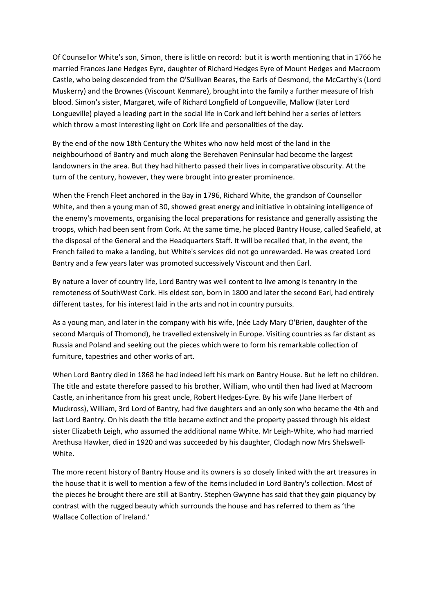Of Counsellor White's son, Simon, there is little on record: but it is worth mentioning that in 1766 he married Frances Jane Hedges Eyre, daughter of Richard Hedges Eyre of Mount Hedges and Macroom Castle, who being descended from the O'Sullivan Beares, the Earls of Desmond, the McCarthy's (Lord Muskerry) and the Brownes (Viscount Kenmare), brought into the family a further measure of Irish blood. Simon's sister, Margaret, wife of Richard Longfield of Longueville, Mallow (later Lord Longueville) played a leading part in the social life in Cork and left behind her a series of letters which throw a most interesting light on Cork life and personalities of the day.

By the end of the now 18th Century the Whites who now held most of the land in the neighbourhood of Bantry and much along the Berehaven Peninsular had become the largest landowners in the area. But they had hitherto passed their lives in comparative obscurity. At the turn of the century, however, they were brought into greater prominence.

When the French Fleet anchored in the Bay in 1796, Richard White, the grandson of Counsellor White, and then a young man of 30, showed great energy and initiative in obtaining intelligence of the enemy's movements, organising the local preparations for resistance and generally assisting the troops, which had been sent from Cork. At the same time, he placed Bantry House, called Seafield, at the disposal of the General and the Headquarters Staff. It will be recalled that, in the event, the French failed to make a landing, but White's services did not go unrewarded. He was created Lord Bantry and a few years later was promoted successively Viscount and then Earl.

By nature a lover of country life, Lord Bantry was well content to live among is tenantry in the remoteness of SouthWest Cork. His eldest son, born in 1800 and later the second Earl, had entirely different tastes, for his interest laid in the arts and not in country pursuits.

As a young man, and later in the company with his wife, (née Lady Mary O'Brien, daughter of the second Marquis of Thomond), he travelled extensively in Europe. Visiting countries as far distant as Russia and Poland and seeking out the pieces which were to form his remarkable collection of furniture, tapestries and other works of art.

When Lord Bantry died in 1868 he had indeed left his mark on Bantry House. But he left no children. The title and estate therefore passed to his brother, William, who until then had lived at Macroom Castle, an inheritance from his great uncle, Robert Hedges-Eyre. By his wife (Jane Herbert of Muckross), William, 3rd Lord of Bantry, had five daughters and an only son who became the 4th and last Lord Bantry. On his death the title became extinct and the property passed through his eldest sister Elizabeth Leigh, who assumed the additional name White. Mr Leigh-White, who had married Arethusa Hawker, died in 1920 and was succeeded by his daughter, Clodagh now Mrs Shelswell-White.

The more recent history of Bantry House and its owners is so closely linked with the art treasures in the house that it is well to mention a few of the items included in Lord Bantry's collection. Most of the pieces he brought there are still at Bantry. Stephen Gwynne has said that they gain piquancy by contrast with the rugged beauty which surrounds the house and has referred to them as 'the Wallace Collection of Ireland.'